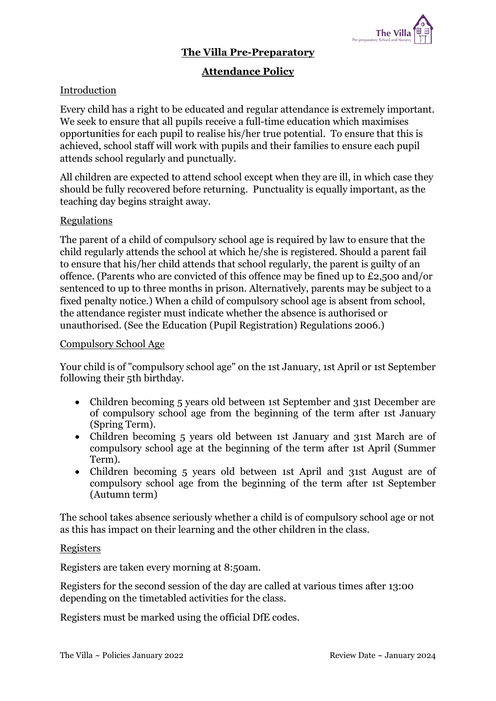

## **The Villa Pre-Preparatory**

# **Attendance Policy**

#### Introduction

Every child has a right to be educated and regular attendance is extremely important. We seek to ensure that all pupils receive a full-time education which maximises opportunities for each pupil to realise his/her true potential. To ensure that this is achieved, school staff will work with pupils and their families to ensure each pupil attends school regularly and punctually.

All children are expected to attend school except when they are ill, in which case they should be fully recovered before returning. Punctuality is equally important, as the teaching day begins straight away.

#### **Regulations**

The parent of a child of compulsory school age is required by law to ensure that the child regularly attends the school at which he/she is registered. Should a parent fail to ensure that his/her child attends that school regularly, the parent is guilty of an offence. (Parents who are convicted of this offence may be fined up to £2,500 and/or sentenced to up to three months in prison. Alternatively, parents may be subject to a fixed penalty notice.) When a child of compulsory school age is absent from school, the attendance register must indicate whether the absence is authorised or unauthorised. (See the Education (Pupil Registration) Regulations 2006.)

#### Compulsory School Age

Your child is of "compulsory school age" on the 1st January, 1st April or 1st September following their 5th birthday.

- Children becoming 5 years old between 1st September and 31st December are of compulsory school age from the beginning of the term after 1st January (Spring Term).
- Children becoming 5 years old between 1st January and 31st March are of compulsory school age at the beginning of the term after 1st April (Summer Term).
- Children becoming 5 years old between 1st April and 31st August are of compulsory school age from the beginning of the term after 1st September (Autumn term)

The school takes absence seriously whether a child is of compulsory school age or not as this has impact on their learning and the other children in the class.

#### Registers

Registers are taken every morning at 8:50am.

Registers for the second session of the day are called at various times after 13:00 depending on the timetabled activities for the class.

Registers must be marked using the official DfE codes.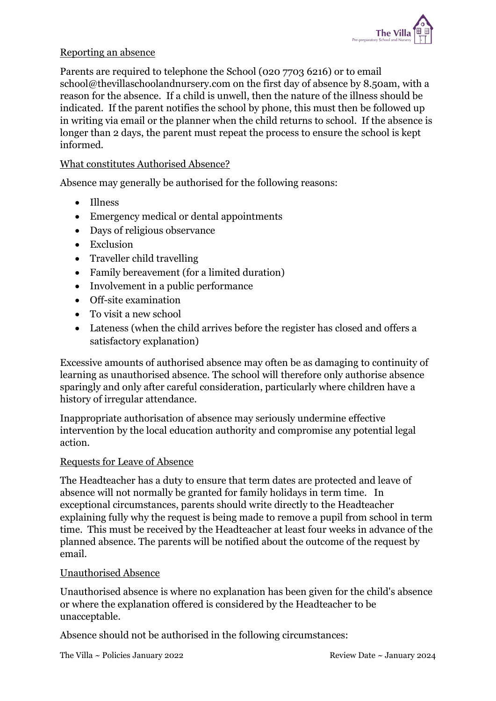

## Reporting an absence

Parents are required to telephone the School (020 7703 6216) or to email school@thevillaschoolandnursery.com on the first day of absence by 8.50am, with a reason for the absence. If a child is unwell, then the nature of the illness should be indicated. If the parent notifies the school by phone, this must then be followed up in writing via email or the planner when the child returns to school. If the absence is longer than 2 days, the parent must repeat the process to ensure the school is kept informed.

## What constitutes Authorised Absence?

Absence may generally be authorised for the following reasons:

- Illness
- Emergency medical or dental appointments
- Days of religious observance
- Exclusion
- Traveller child travelling
- Family bereavement (for a limited duration)
- Involvement in a public performance
- Off-site examination
- To visit a new school
- Lateness (when the child arrives before the register has closed and offers a satisfactory explanation)

Excessive amounts of authorised absence may often be as damaging to continuity of learning as unauthorised absence. The school will therefore only authorise absence sparingly and only after careful consideration, particularly where children have a history of irregular attendance.

Inappropriate authorisation of absence may seriously undermine effective intervention by the local education authority and compromise any potential legal action.

#### Requests for Leave of Absence

The Headteacher has a duty to ensure that term dates are protected and leave of absence will not normally be granted for family holidays in term time. In exceptional circumstances, parents should write directly to the Headteacher explaining fully why the request is being made to remove a pupil from school in term time. This must be received by the Headteacher at least four weeks in advance of the planned absence. The parents will be notified about the outcome of the request by email.

#### Unauthorised Absence

Unauthorised absence is where no explanation has been given for the child's absence or where the explanation offered is considered by the Headteacher to be unacceptable.

Absence should not be authorised in the following circumstances: